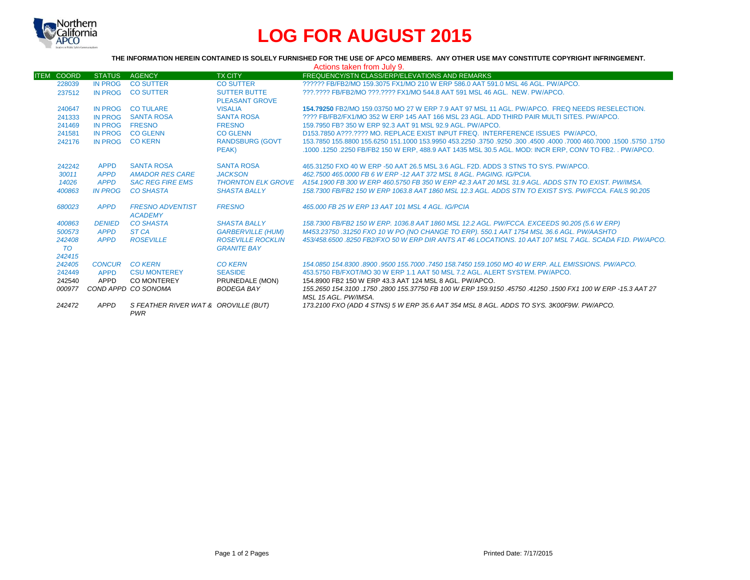

# **LOG FOR AUGUST 2015**

**THE INFORMATION HEREIN CONTAINED IS SOLELY FURNISHED FOR THE USE OF APCO MEMBERS. ANY OTHER USE MAY CONSTITUTE COPYRIGHT INFRINGEMENT.**

| Actions taken from July 9. |                |                                                    |                                                |                                                                                                                                      |  |  |
|----------------------------|----------------|----------------------------------------------------|------------------------------------------------|--------------------------------------------------------------------------------------------------------------------------------------|--|--|
| <b>ITEM COORD</b>          | <b>STATUS</b>  | <b>AGENCY</b>                                      | <b>TX CITY</b>                                 | FREQUENCY/STN CLASS/ERP/ELEVATIONS AND REMARKS                                                                                       |  |  |
| 228039                     | <b>IN PROG</b> | <b>CO SUTTER</b>                                   | <b>CO SUTTER</b>                               | ?????? FB/FB2/MO 159.3075 FX1/MO 210 W ERP 586.0 AAT 591.0 MSL 46 AGL, PW/APCO.                                                      |  |  |
| 237512                     | <b>IN PROG</b> | <b>CO SUTTER</b>                                   | <b>SUTTER BUTTE</b>                            | ???.???? FB/FB2/MO ???.???? FX1/MO 544.8 AAT 591 MSL 46 AGL. NEW. PW/APCO.                                                           |  |  |
|                            |                |                                                    | <b>PLEASANT GROVE</b>                          |                                                                                                                                      |  |  |
| 240647                     | <b>IN PROG</b> | <b>CO TULARE</b>                                   | <b>VISALIA</b>                                 | 154.79250 FB2/MO 159.03750 MO 27 W ERP 7.9 AAT 97 MSL 11 AGL. PW/APCO. FREQ NEEDS RESELECTION.                                       |  |  |
| 241333                     | IN PROG        | <b>SANTA ROSA</b>                                  | <b>SANTA ROSA</b>                              | ???? FB/FB2/FX1/MO 352 W ERP 145 AAT 166 MSL 23 AGL. ADD THIRD PAIR MULTI SITES, PW/APCO,                                            |  |  |
| 241469                     | IN PROG        | <b>FRESNO</b>                                      | <b>FRESNO</b>                                  | 159.7950 FB? 350 W ERP 92.3 AAT 91 MSL 92.9 AGL, PW/APCO.                                                                            |  |  |
| 241581                     | <b>IN PROG</b> | <b>CO GLENN</b>                                    | <b>CO GLENN</b>                                | D153.7850 A???.???? MO. REPLACE EXIST INPUT FREQ. INTERFERENCE ISSUES PW/APCO,                                                       |  |  |
| 242176                     | <b>IN PROG</b> | <b>CO KERN</b>                                     | <b>RANDSBURG (GOVT</b>                         | 1750, 1750, 1500, 1600, 1000 1600, 1000 1400 1600, 1750, 1750, 1750 153,9950 161,1000 155,6250 155,6250 155,6250                     |  |  |
|                            |                |                                                    | PEAK)                                          | .1000 .1250 .2250 FB/FB2 150 W ERP, 488.9 AAT 1435 MSL 30.5 AGL. MOD: INCR ERP, CONV TO FB2. . PW/APCO.                              |  |  |
| 242242                     | <b>APPD</b>    | <b>SANTA ROSA</b>                                  | <b>SANTA ROSA</b>                              | 465,31250 FXO 40 W ERP -50 AAT 26.5 MSL 3.6 AGL, F2D, ADDS 3 STNS TO SYS, PW/APCO.                                                   |  |  |
| 30011                      | <b>APPD</b>    | <b>AMADOR RES CARE</b>                             | <b>JACKSON</b>                                 | 462.7500 465.0000 FB 6 W ERP -12 AAT 372 MSL 8 AGL, PAGING, IG/PCIA.                                                                 |  |  |
| 14026                      | <b>APPD</b>    | <b>SAC REG FIRE EMS</b>                            |                                                | THORNTON ELK GROVE A154.1900 FB 300 W ERP 460.5750 FB 350 W ERP 42.3 AAT 20 MSL 31.9 AGL. ADDS STN TO EXIST. PW/IMSA.                |  |  |
| 400863                     | <b>IN PROG</b> | <b>CO SHASTA</b>                                   | <b>SHASTA BALLY</b>                            | 158.7300 FB/FB2 150 W ERP 1063.8 AAT 1860 MSL 12.3 AGL. ADDS STN TO EXIST SYS. PW/FCCA. FAILS 90.205                                 |  |  |
| 680023                     | <b>APPD</b>    | <b>FRESNO ADVENTIST</b><br><b>ACADEMY</b>          | <b>FRESNO</b>                                  | 465,000 FB 25 W ERP 13 AAT 101 MSL 4 AGL, IG/PCIA                                                                                    |  |  |
| 400863                     | <b>DENIED</b>  | <b>CO SHASTA</b>                                   | <b>SHASTA BALLY</b>                            | 158.7300 FB/FB2 150 W ERP. 1036.8 AAT 1860 MSL 12.2 AGL. PW/FCCA. EXCEEDS 90.205 (5.6 W ERP)                                         |  |  |
| 500573                     | <b>APPD</b>    | ST <sub>CA</sub>                                   | <b>GARBERVILLE (HUM)</b>                       | M453.23750 .31250 FXO 10 W PO (NO CHANGE TO ERP). 550.1 AAT 1754 MSL 36.6 AGL. PW/AASHTO                                             |  |  |
| 242408<br><b>TO</b>        | <b>APPD</b>    | <b>ROSEVILLE</b>                                   | <b>ROSEVILLE ROCKLIN</b><br><b>GRANITE BAY</b> | 453/458.6500 8250 FB2/FXO 50 W ERP DIR ANTS AT 46 LOCATIONS, 10 AAT 107 MSL 7 AGL, SCADA F1D, PW/APCO,                               |  |  |
| 242415                     |                |                                                    |                                                |                                                                                                                                      |  |  |
| 242405                     | CONCUR CO KERN |                                                    | <b>CO KERN</b>                                 | 154,0850 154,8300 8900 9500 155,7000 7450 158,7450 159,1050 MO 40 W ERP, ALL EMISSIONS, PW/APCO,                                     |  |  |
| 242449                     | <b>APPD</b>    | <b>CSU MONTEREY</b>                                | <b>SEASIDE</b>                                 | 453,5750 FB/FXOT/MO 30 W ERP 1.1 AAT 50 MSL 7.2 AGL. ALERT SYSTEM, PW/APCO.                                                          |  |  |
| 242540                     | APPD           | <b>CO MONTEREY</b>                                 | PRUNEDALE (MON)                                | 154.8900 FB2 150 W ERP 43.3 AAT 124 MSL 8 AGL. PW/APCO.                                                                              |  |  |
| 000977                     |                | COND APPD CO SONOMA                                | <b>BODEGA BAY</b>                              | 155.2650 154.3100 .1750 .2800 155.37750 FB 100 W ERP 159.9150 .45750 .41250 .1500 FX1 100 W ERP -15.3 AAT 27<br>MSL 15 AGL, PW/IMSA. |  |  |
| 242472                     | APPD           | S FEATHER RIVER WAT & OROVILLE (BUT)<br><b>PWR</b> |                                                | 173.2100 FXO (ADD 4 STNS) 5 W ERP 35.6 AAT 354 MSL 8 AGL. ADDS TO SYS. 3K00F9W. PW/APCO.                                             |  |  |